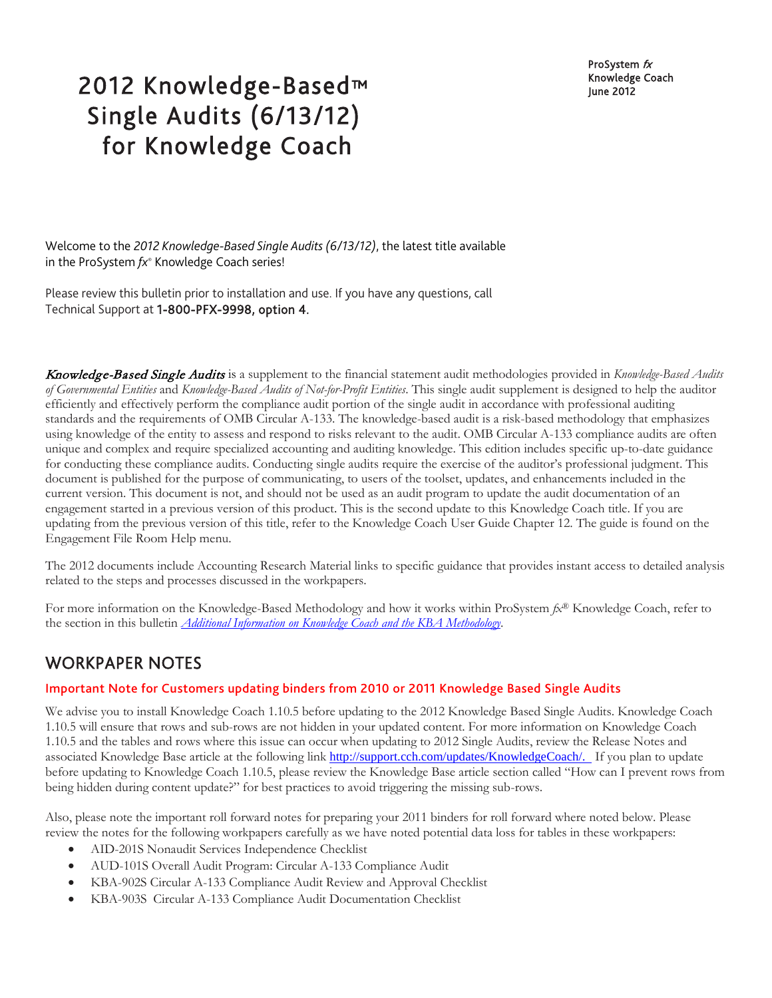ProSystem  $f_X$ Knowledge Coach

# 2012 Knowledge-Based™ Manuscription Manuscription Manuscription Manuscription Manuscription Single Audits (6/13/12) for Knowledge Coach

Welcome to the *2012 Knowledge-Based Single Audits (6/13/12)*, the latest title available in the ProSystem *fx*® Knowledge Coach series!

Please review this bulletin prior to installation and use. If you have any questions, call Technical Support at 1-800-PFX-9998, option 4.

Knowledge-Based Single Audits is a supplement to the financial statement audit methodologies provided in *Knowledge-Based Audits of Governmental Entities* and *Knowledge-Based Audits of Not-for-Profit Entities*. This single audit supplement is designed to help the auditor efficiently and effectively perform the compliance audit portion of the single audit in accordance with professional auditing standards and the requirements of OMB Circular A-133. The knowledge-based audit is a risk-based methodology that emphasizes using knowledge of the entity to assess and respond to risks relevant to the audit. OMB Circular A-133 compliance audits are often unique and complex and require specialized accounting and auditing knowledge. This edition includes specific up-to-date guidance for conducting these compliance audits. Conducting single audits require the exercise of the auditor's professional judgment. This document is published for the purpose of communicating, to users of the toolset, updates, and enhancements included in the current version. This document is not, and should not be used as an audit program to update the audit documentation of an engagement started in a previous version of this product. This is the second update to this Knowledge Coach title. If you are updating from the previous version of this title, refer to the Knowledge Coach User Guide Chapter 12. The guide is found on the Engagement File Room Help menu.

The 2012 documents include Accounting Research Material links to specific guidance that provides instant access to detailed analysis related to the steps and processes discussed in the workpapers.

For more information on the Knowledge-Based Methodology and how it works within ProSystem *fx*® Knowledge Coach, refer to the section in this bulletin *[Additional Information on Knowledge Coach and the KBA Methodology](#page-6-0)*.

# WORKPAPER NOTES

#### Important Note for Customers updating binders from 2010 or 2011 Knowledge Based Single Audits

We advise you to install Knowledge Coach 1.10.5 before updating to the 2012 Knowledge Based Single Audits. Knowledge Coach 1.10.5 will ensure that rows and sub-rows are not hidden in your updated content. For more information on Knowledge Coach 1.10.5 and the tables and rows where this issue can occur when updating to 2012 Single Audits, review the Release Notes and associated Knowledge Base article at the following link [http://support.cch.com/updates/KnowledgeCoach/.](http://support.cch.com/updates/KnowledgeCoach/) If you plan to update before updating to Knowledge Coach 1.10.5, please review the Knowledge Base article section called "How can I prevent rows from being hidden during content update?" for best practices to avoid triggering the missing sub-rows.

Also, please note the important roll forward notes for preparing your 2011 binders for roll forward where noted below. Please review the notes for the following workpapers carefully as we have noted potential data loss for tables in these workpapers:

- AID-201S Nonaudit Services Independence Checklist
- AUD-101S Overall Audit Program: Circular A-133 Compliance Audit
- KBA-902S Circular A-133 Compliance Audit Review and Approval Checklist
- KBA-903S Circular A-133 Compliance Audit Documentation Checklist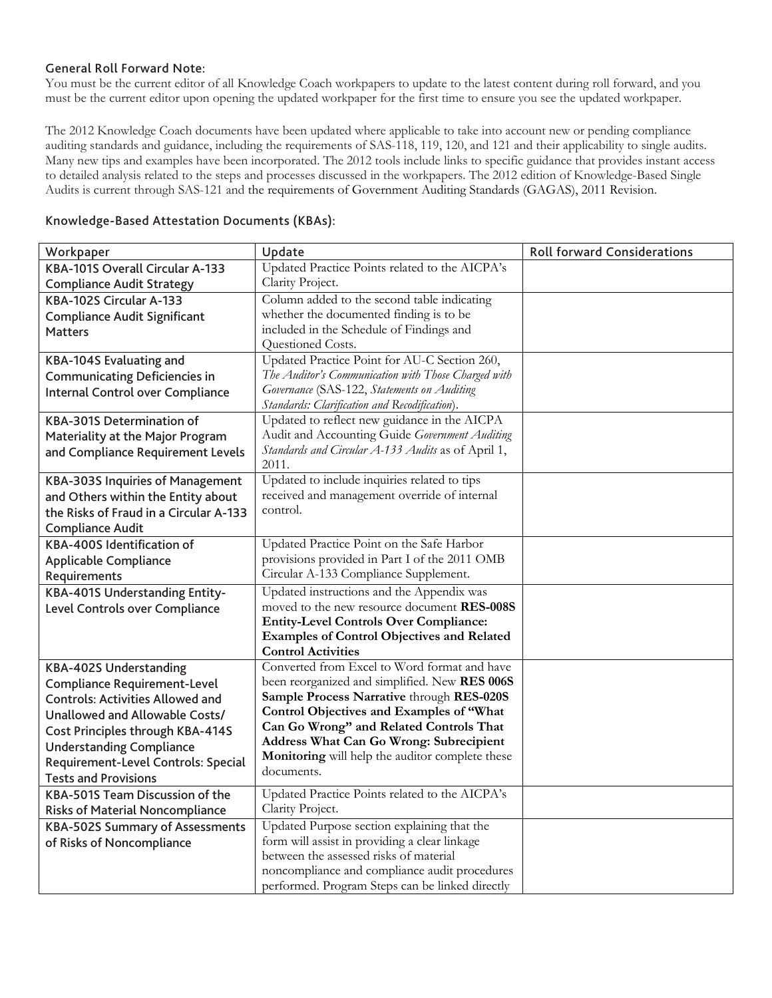#### General Roll Forward Note:

You must be the current editor of all Knowledge Coach workpapers to update to the latest content during roll forward, and you must be the current editor upon opening the updated workpaper for the first time to ensure you see the updated workpaper.

The 2012 Knowledge Coach documents have been updated where applicable to take into account new or pending compliance auditing standards and guidance, including the requirements of SAS-118, 119, 120, and 121 and their applicability to single audits. Many new tips and examples have been incorporated. The 2012 tools include links to specific guidance that provides instant access to detailed analysis related to the steps and processes discussed in the workpapers. The 2012 edition of Knowledge-Based Single Audits is current through SAS-121 and the requirements of Government Auditing Standards (GAGAS), 2011 Revision.

| Workpaper                               | Update                                                      | <b>Roll forward Considerations</b> |
|-----------------------------------------|-------------------------------------------------------------|------------------------------------|
| KBA-101S Overall Circular A-133         | Updated Practice Points related to the AICPA's              |                                    |
| <b>Compliance Audit Strategy</b>        | Clarity Project.                                            |                                    |
| KBA-102S Circular A-133                 | Column added to the second table indicating                 |                                    |
| <b>Compliance Audit Significant</b>     | whether the documented finding is to be                     |                                    |
| <b>Matters</b>                          | included in the Schedule of Findings and                    |                                    |
|                                         | Questioned Costs.                                           |                                    |
| <b>KBA-104S Evaluating and</b>          | Updated Practice Point for AU-C Section 260,                |                                    |
| <b>Communicating Deficiencies in</b>    | The Auditor's Communication with Those Charged with         |                                    |
| Internal Control over Compliance        | Governance (SAS-122, Statements on Auditing                 |                                    |
|                                         | Standards: Clarification and Recodification).               |                                    |
| <b>KBA-301S Determination of</b>        | Updated to reflect new guidance in the AICPA                |                                    |
| Materiality at the Major Program        | Audit and Accounting Guide Government Auditing              |                                    |
| and Compliance Requirement Levels       | Standards and Circular A-133 Audits as of April 1,<br>2011. |                                    |
| <b>KBA-303S Inquiries of Management</b> | Updated to include inquiries related to tips                |                                    |
| and Others within the Entity about      | received and management override of internal                |                                    |
| the Risks of Fraud in a Circular A-133  | control.                                                    |                                    |
| <b>Compliance Audit</b>                 |                                                             |                                    |
| KBA-400S Identification of              | Updated Practice Point on the Safe Harbor                   |                                    |
| <b>Applicable Compliance</b>            | provisions provided in Part I of the 2011 OMB               |                                    |
| Requirements                            | Circular A-133 Compliance Supplement.                       |                                    |
| KBA-401S Understanding Entity-          | Updated instructions and the Appendix was                   |                                    |
| Level Controls over Compliance          | moved to the new resource document RES-008S                 |                                    |
|                                         | <b>Entity-Level Controls Over Compliance:</b>               |                                    |
|                                         | <b>Examples of Control Objectives and Related</b>           |                                    |
|                                         | <b>Control Activities</b>                                   |                                    |
| <b>KBA-402S Understanding</b>           | Converted from Excel to Word format and have                |                                    |
| <b>Compliance Requirement-Level</b>     | been reorganized and simplified. New RES 006S               |                                    |
| <b>Controls: Activities Allowed and</b> | Sample Process Narrative through RES-020S                   |                                    |
| Unallowed and Allowable Costs/          | Control Objectives and Examples of "What                    |                                    |
| <b>Cost Principles through KBA-414S</b> | Can Go Wrong" and Related Controls That                     |                                    |
| <b>Understanding Compliance</b>         | Address What Can Go Wrong: Subrecipient                     |                                    |
| Requirement-Level Controls: Special     | Monitoring will help the auditor complete these             |                                    |
| <b>Tests and Provisions</b>             | documents.                                                  |                                    |
| KBA-501S Team Discussion of the         | Updated Practice Points related to the AICPA's              |                                    |
| <b>Risks of Material Noncompliance</b>  | Clarity Project.                                            |                                    |
| <b>KBA-502S Summary of Assessments</b>  | Updated Purpose section explaining that the                 |                                    |
| of Risks of Noncompliance               | form will assist in providing a clear linkage               |                                    |
|                                         | between the assessed risks of material                      |                                    |
|                                         | noncompliance and compliance audit procedures               |                                    |
|                                         | performed. Program Steps can be linked directly             |                                    |

#### Knowledge-Based Attestation Documents (KBAs):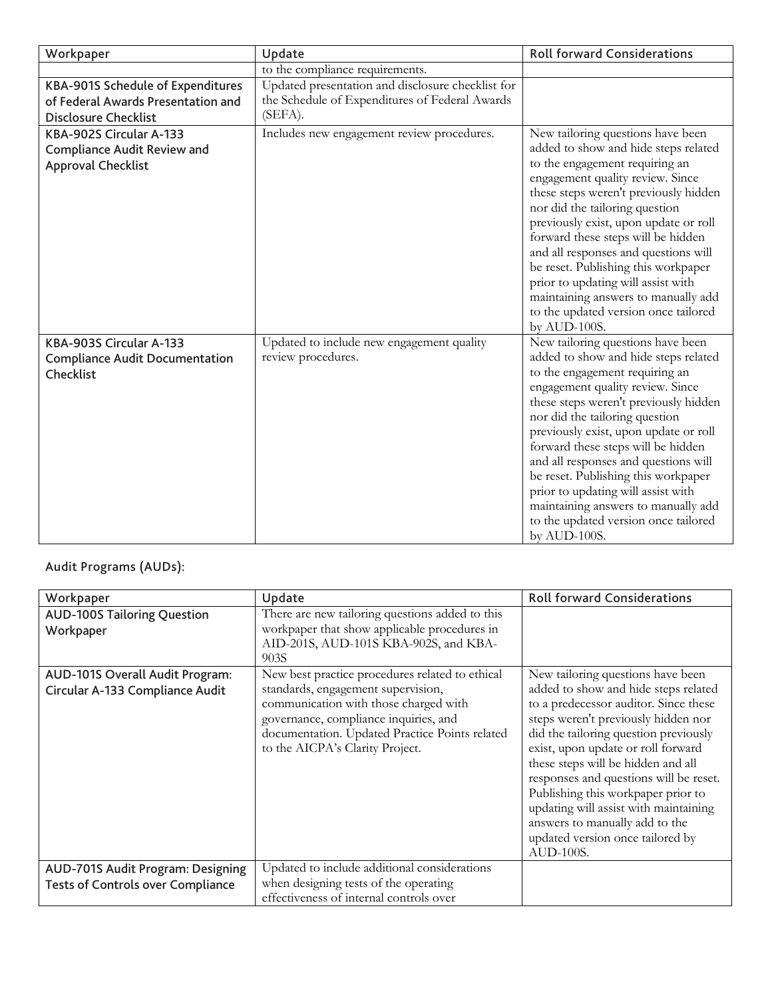| Workpaper                                                                                              | Update                                                                                                         | <b>Roll forward Considerations</b>                                                                                                                                                                                                                                                                                                                                                                                                                                                                                            |
|--------------------------------------------------------------------------------------------------------|----------------------------------------------------------------------------------------------------------------|-------------------------------------------------------------------------------------------------------------------------------------------------------------------------------------------------------------------------------------------------------------------------------------------------------------------------------------------------------------------------------------------------------------------------------------------------------------------------------------------------------------------------------|
|                                                                                                        | to the compliance requirements.                                                                                |                                                                                                                                                                                                                                                                                                                                                                                                                                                                                                                               |
| KBA-901S Schedule of Expenditures<br>of Federal Awards Presentation and<br><b>Disclosure Checklist</b> | Updated presentation and disclosure checklist for<br>the Schedule of Expenditures of Federal Awards<br>(SEFA). |                                                                                                                                                                                                                                                                                                                                                                                                                                                                                                                               |
| KBA-902S Circular A-133<br><b>Compliance Audit Review and</b><br><b>Approval Checklist</b>             | Includes new engagement review procedures.                                                                     | New tailoring questions have been<br>added to show and hide steps related<br>to the engagement requiring an<br>engagement quality review. Since<br>these steps weren't previously hidden<br>nor did the tailoring question<br>previously exist, upon update or roll<br>forward these steps will be hidden<br>and all responses and questions will<br>be reset. Publishing this workpaper<br>prior to updating will assist with<br>maintaining answers to manually add<br>to the updated version once tailored<br>by AUD-100S. |
| KBA-903S Circular A-133<br><b>Compliance Audit Documentation</b><br>Checklist                          | Updated to include new engagement quality<br>review procedures.                                                | New tailoring questions have been<br>added to show and hide steps related<br>to the engagement requiring an<br>engagement quality review. Since<br>these steps weren't previously hidden<br>nor did the tailoring question<br>previously exist, upon update or roll<br>forward these steps will be hidden<br>and all responses and questions will<br>be reset. Publishing this workpaper<br>prior to updating will assist with<br>maintaining answers to manually add<br>to the updated version once tailored<br>by AUD-100S. |

# Audit Programs (AUDs):

| Workpaper                                                                     | Update                                                                                                                                                                                                                                                       | <b>Roll forward Considerations</b>                                                                                                                                                                                                                                                                                                                                                                                                                                                         |
|-------------------------------------------------------------------------------|--------------------------------------------------------------------------------------------------------------------------------------------------------------------------------------------------------------------------------------------------------------|--------------------------------------------------------------------------------------------------------------------------------------------------------------------------------------------------------------------------------------------------------------------------------------------------------------------------------------------------------------------------------------------------------------------------------------------------------------------------------------------|
| <b>AUD-100S Tailoring Question</b><br>Workpaper                               | There are new tailoring questions added to this<br>workpaper that show applicable procedures in<br>AID-201S, AUD-101S KBA-902S, and KBA-<br>903S                                                                                                             |                                                                                                                                                                                                                                                                                                                                                                                                                                                                                            |
| AUD-101S Overall Audit Program:<br>Circular A-133 Compliance Audit            | New best practice procedures related to ethical<br>standards, engagement supervision,<br>communication with those charged with<br>governance, compliance inquiries, and<br>documentation. Updated Practice Points related<br>to the AICPA's Clarity Project. | New tailoring questions have been<br>added to show and hide steps related<br>to a predecessor auditor. Since these<br>steps weren't previously hidden nor<br>did the tailoring question previously<br>exist, upon update or roll forward<br>these steps will be hidden and all<br>responses and questions will be reset.<br>Publishing this workpaper prior to<br>updating will assist with maintaining<br>answers to manually add to the<br>updated version once tailored by<br>AUD-100S. |
| AUD-701S Audit Program: Designing<br><b>Tests of Controls over Compliance</b> | Updated to include additional considerations<br>when designing tests of the operating<br>effectiveness of internal controls over                                                                                                                             |                                                                                                                                                                                                                                                                                                                                                                                                                                                                                            |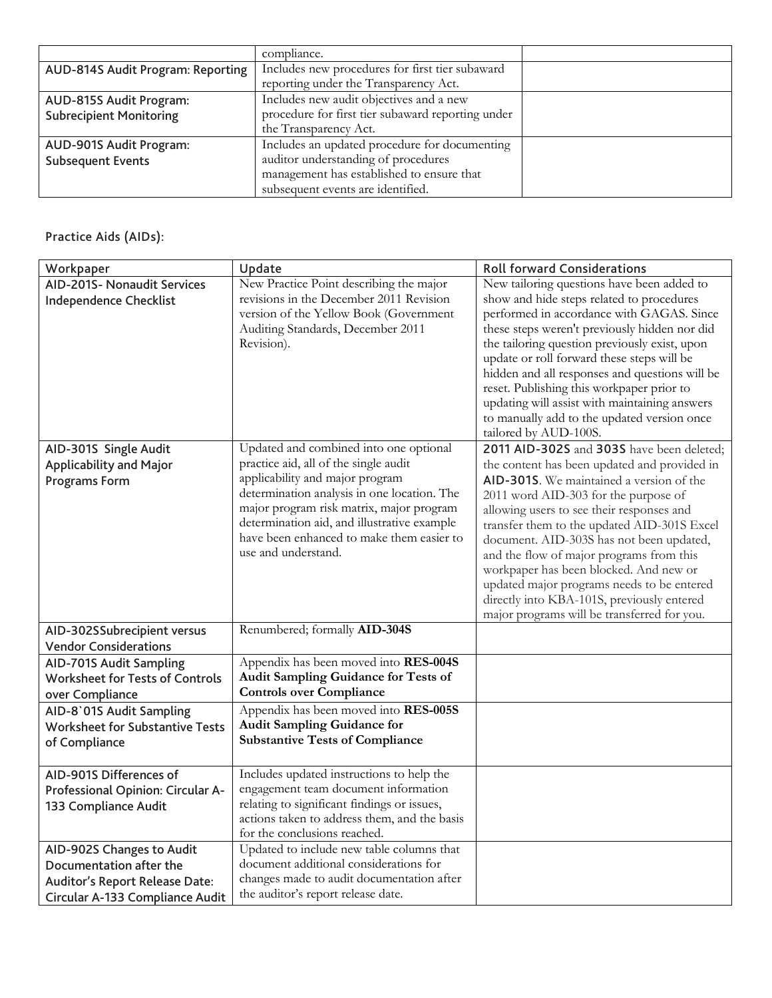|                                   | compliance.                                       |  |
|-----------------------------------|---------------------------------------------------|--|
| AUD-814S Audit Program: Reporting | Includes new procedures for first tier subaward   |  |
|                                   | reporting under the Transparency Act.             |  |
| AUD-815S Audit Program:           | Includes new audit objectives and a new           |  |
| <b>Subrecipient Monitoring</b>    | procedure for first tier subaward reporting under |  |
|                                   | the Transparency Act.                             |  |
| AUD-901S Audit Program:           | Includes an updated procedure for documenting     |  |
| <b>Subsequent Events</b>          | auditor understanding of procedures               |  |
|                                   | management has established to ensure that         |  |
|                                   | subsequent events are identified.                 |  |

# Practice Aids (AIDs):

| Workpaper                                                                                                                 | Update                                                                                                                                                                                                                                                                                                                           | <b>Roll forward Considerations</b>                                                                                                                                                                                                                                                                                                                                                                                                                                                                                                                     |
|---------------------------------------------------------------------------------------------------------------------------|----------------------------------------------------------------------------------------------------------------------------------------------------------------------------------------------------------------------------------------------------------------------------------------------------------------------------------|--------------------------------------------------------------------------------------------------------------------------------------------------------------------------------------------------------------------------------------------------------------------------------------------------------------------------------------------------------------------------------------------------------------------------------------------------------------------------------------------------------------------------------------------------------|
| <b>AID-201S- Nonaudit Services</b><br><b>Independence Checklist</b>                                                       | New Practice Point describing the major<br>revisions in the December 2011 Revision<br>version of the Yellow Book (Government<br>Auditing Standards, December 2011<br>Revision).                                                                                                                                                  | New tailoring questions have been added to<br>show and hide steps related to procedures<br>performed in accordance with GAGAS. Since<br>these steps weren't previously hidden nor did<br>the tailoring question previously exist, upon<br>update or roll forward these steps will be<br>hidden and all responses and questions will be<br>reset. Publishing this workpaper prior to<br>updating will assist with maintaining answers<br>to manually add to the updated version once<br>tailored by AUD-100S.                                           |
| AID-301S Single Audit<br><b>Applicability and Major</b><br><b>Programs Form</b>                                           | Updated and combined into one optional<br>practice aid, all of the single audit<br>applicability and major program<br>determination analysis in one location. The<br>major program risk matrix, major program<br>determination aid, and illustrative example<br>have been enhanced to make them easier to<br>use and understand. | 2011 AID-302S and 303S have been deleted;<br>the content has been updated and provided in<br>AID-301S. We maintained a version of the<br>2011 word AID-303 for the purpose of<br>allowing users to see their responses and<br>transfer them to the updated AID-301S Excel<br>document. AID-303S has not been updated,<br>and the flow of major programs from this<br>workpaper has been blocked. And new or<br>updated major programs needs to be entered<br>directly into KBA-101S, previously entered<br>major programs will be transferred for you. |
| AID-302SSubrecipient versus<br><b>Vendor Considerations</b>                                                               | Renumbered; formally AID-304S                                                                                                                                                                                                                                                                                                    |                                                                                                                                                                                                                                                                                                                                                                                                                                                                                                                                                        |
| AID-701S Audit Sampling<br>Worksheet for Tests of Controls<br>over Compliance                                             | Appendix has been moved into RES-004S<br>Audit Sampling Guidance for Tests of<br><b>Controls over Compliance</b>                                                                                                                                                                                                                 |                                                                                                                                                                                                                                                                                                                                                                                                                                                                                                                                                        |
| AID-8'01S Audit Sampling<br><b>Worksheet for Substantive Tests</b><br>of Compliance                                       | Appendix has been moved into RES-005S<br><b>Audit Sampling Guidance for</b><br><b>Substantive Tests of Compliance</b>                                                                                                                                                                                                            |                                                                                                                                                                                                                                                                                                                                                                                                                                                                                                                                                        |
| AID-901S Differences of<br>Professional Opinion: Circular A-<br>133 Compliance Audit                                      | Includes updated instructions to help the<br>engagement team document information<br>relating to significant findings or issues,<br>actions taken to address them, and the basis<br>for the conclusions reached.                                                                                                                 |                                                                                                                                                                                                                                                                                                                                                                                                                                                                                                                                                        |
| AID-902S Changes to Audit<br>Documentation after the<br>Auditor's Report Release Date:<br>Circular A-133 Compliance Audit | Updated to include new table columns that<br>document additional considerations for<br>changes made to audit documentation after<br>the auditor's report release date.                                                                                                                                                           |                                                                                                                                                                                                                                                                                                                                                                                                                                                                                                                                                        |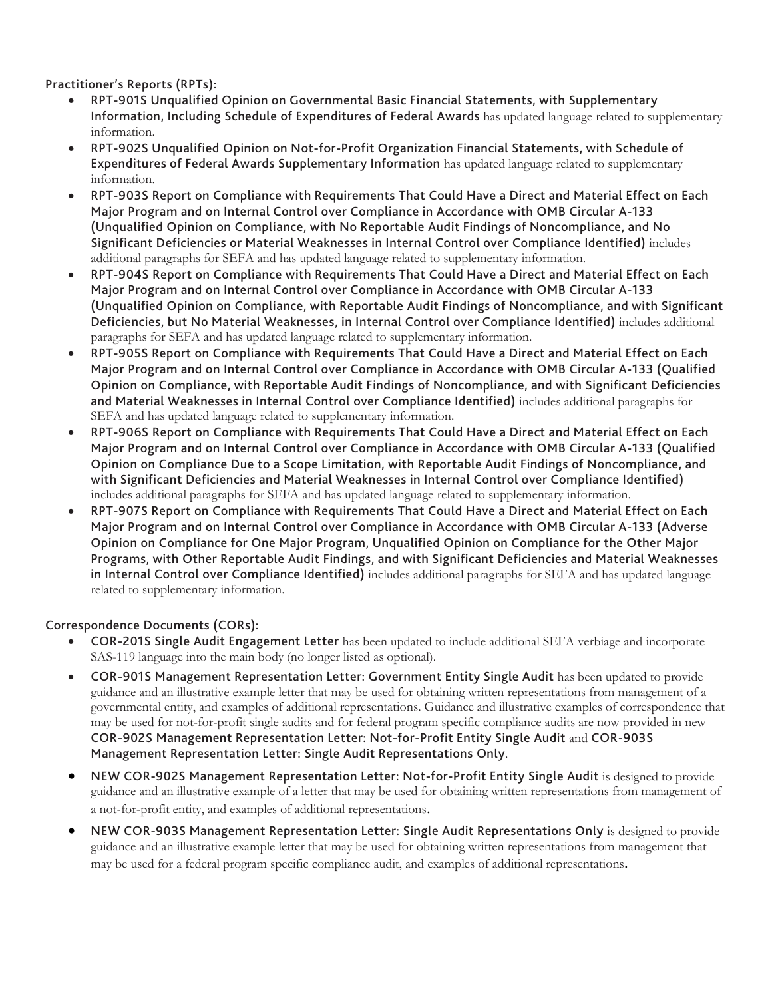Practitioner's Reports (RPTs):

- RPT-901S Unqualified Opinion on Governmental Basic Financial Statements, with Supplementary Information, Including Schedule of Expenditures of Federal Awards has updated language related to supplementary information.
- RPT-902S Unqualified Opinion on Not-for-Profit Organization Financial Statements, with Schedule of Expenditures of Federal Awards Supplementary Information has updated language related to supplementary information.
- RPT-903S Report on Compliance with Requirements That Could Have a Direct and Material Effect on Each Major Program and on Internal Control over Compliance in Accordance with OMB Circular A-133 (Unqualified Opinion on Compliance, with No Reportable Audit Findings of Noncompliance, and No Significant Deficiencies or Material Weaknesses in Internal Control over Compliance Identified) includes additional paragraphs for SEFA and has updated language related to supplementary information.
- RPT-904S Report on Compliance with Requirements That Could Have a Direct and Material Effect on Each Major Program and on Internal Control over Compliance in Accordance with OMB Circular A-133 (Unqualified Opinion on Compliance, with Reportable Audit Findings of Noncompliance, and with Significant Deficiencies, but No Material Weaknesses, in Internal Control over Compliance Identified) includes additional paragraphs for SEFA and has updated language related to supplementary information.
- RPT-905S Report on Compliance with Requirements That Could Have a Direct and Material Effect on Each Major Program and on Internal Control over Compliance in Accordance with OMB Circular A-133 (Qualified Opinion on Compliance, with Reportable Audit Findings of Noncompliance, and with Significant Deficiencies and Material Weaknesses in Internal Control over Compliance Identified) includes additional paragraphs for SEFA and has updated language related to supplementary information.
- RPT-906S Report on Compliance with Requirements That Could Have a Direct and Material Effect on Each Major Program and on Internal Control over Compliance in Accordance with OMB Circular A-133 (Qualified Opinion on Compliance Due to a Scope Limitation, with Reportable Audit Findings of Noncompliance, and with Significant Deficiencies and Material Weaknesses in Internal Control over Compliance Identified) includes additional paragraphs for SEFA and has updated language related to supplementary information.
- RPT-907S Report on Compliance with Requirements That Could Have a Direct and Material Effect on Each Major Program and on Internal Control over Compliance in Accordance with OMB Circular A-133 (Adverse Opinion on Compliance for One Major Program, Unqualified Opinion on Compliance for the Other Major Programs, with Other Reportable Audit Findings, and with Significant Deficiencies and Material Weaknesses in Internal Control over Compliance Identified) includes additional paragraphs for SEFA and has updated language related to supplementary information.

Correspondence Documents (CORs):

- COR-201S Single Audit Engagement Letter has been updated to include additional SEFA verbiage and incorporate SAS-119 language into the main body (no longer listed as optional).
- COR-901S Management Representation Letter: Government Entity Single Audit has been updated to provide guidance and an illustrative example letter that may be used for obtaining written representations from management of a governmental entity, and examples of additional representations. Guidance and illustrative examples of correspondence that may be used for not-for-profit single audits and for federal program specific compliance audits are now provided in new COR-902S Management Representation Letter: Not-for-Profit Entity Single Audit and COR-903S Management Representation Letter: Single Audit Representations Only.
- NEW COR-902S Management Representation Letter: Not-for-Profit Entity Single Audit is designed to provide guidance and an illustrative example of a letter that may be used for obtaining written representations from management of a not-for-profit entity, and examples of additional representations.
- NEW COR-903S Management Representation Letter: Single Audit Representations Only is designed to provide guidance and an illustrative example letter that may be used for obtaining written representations from management that may be used for a federal program specific compliance audit, and examples of additional representations.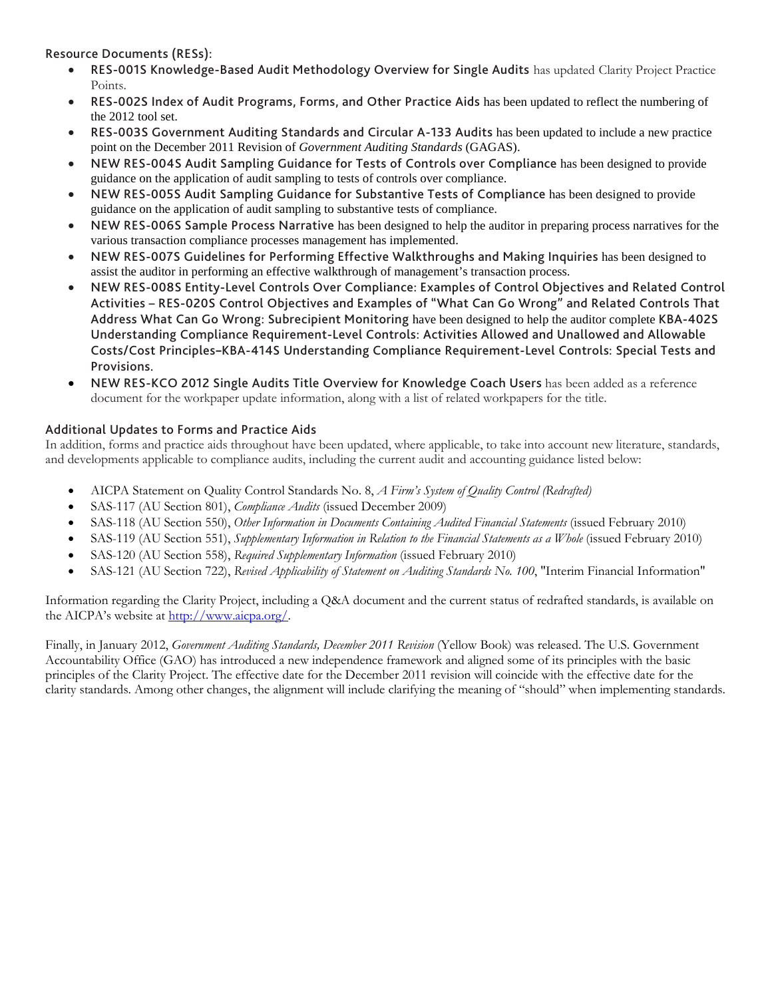Resource Documents (RESs):

- RES-001S Knowledge-Based Audit Methodology Overview for Single Audits has updated Clarity Project Practice Points.
- RES-002S Index of Audit Programs, Forms, and Other Practice Aids has been updated to reflect the numbering of the 2012 tool set.
- RES-003S Government Auditing Standards and Circular A-133 Audits has been updated to include a new practice point on the December 2011 Revision of *Government Auditing Standards* (GAGAS).
- NEW RES-004S Audit Sampling Guidance for Tests of Controls over Compliance has been designed to provide guidance on the application of audit sampling to tests of controls over compliance.
- NEW RES-005S Audit Sampling Guidance for Substantive Tests of Compliance has been designed to provide guidance on the application of audit sampling to substantive tests of compliance.
- NEW RES-006S Sample Process Narrative has been designed to help the auditor in preparing process narratives for the various transaction compliance processes management has implemented.
- NEW RES-007S Guidelines for Performing Effective Walkthroughs and Making Inquiries has been designed to assist the auditor in performing an effective walkthrough of management's transaction process.
- NEW RES-008S Entity-Level Controls Over Compliance: Examples of Control Objectives and Related Control Activities – RES-020S Control Objectives and Examples of "What Can Go Wrong" and Related Controls That Address What Can Go Wrong: Subrecipient Monitoring have been designed to help the auditor complete KBA-402S Understanding Compliance Requirement-Level Controls: Activities Allowed and Unallowed and Allowable Costs/Cost Principles**–**KBA-414S Understanding Compliance Requirement-Level Controls: Special Tests and Provisions.
- NEW RES-KCO 2012 Single Audits Title Overview for Knowledge Coach Users has been added as a reference document for the workpaper update information, along with a list of related workpapers for the title.

#### Additional Updates to Forms and Practice Aids

In addition, forms and practice aids throughout have been updated, where applicable, to take into account new literature, standards, and developments applicable to compliance audits, including the current audit and accounting guidance listed below:

- AICPA Statement on Quality Control Standards No. 8, *A Firm's System of Quality Control (Redrafted)*
- SAS-117 (AU Section 801), *Compliance Audits* (issued December 2009)
- SAS-118 (AU Section 550), *Other Information in Documents Containing Audited Financial Statements* (issued February 2010)
- SAS-119 (AU Section 551), *Supplementary Information in Relation to the Financial Statements as a Whole* (issued February 2010)
- SAS-120 (AU Section 558), *Required Supplementary Information* (issued February 2010)
- SAS-121 (AU Section 722), *Revised Applicability of Statement on Auditing Standards No. 100*, "Interim Financial Information"

Information regarding the Clarity Project, including a Q&A document and the current status of redrafted standards, is available on the AICPA's website a[t http://www.aicpa.org/.](http://www.aicpa.org/)

Finally, in January 2012, *Government Auditing Standards, December 2011 Revision* (Yellow Book) was released. The U.S. Government Accountability Office (GAO) has introduced a new independence framework and aligned some of its principles with the basic principles of the Clarity Project. The effective date for the December 2011 revision will coincide with the effective date for the clarity standards. Among other changes, the alignment will include clarifying the meaning of "should" when implementing standards.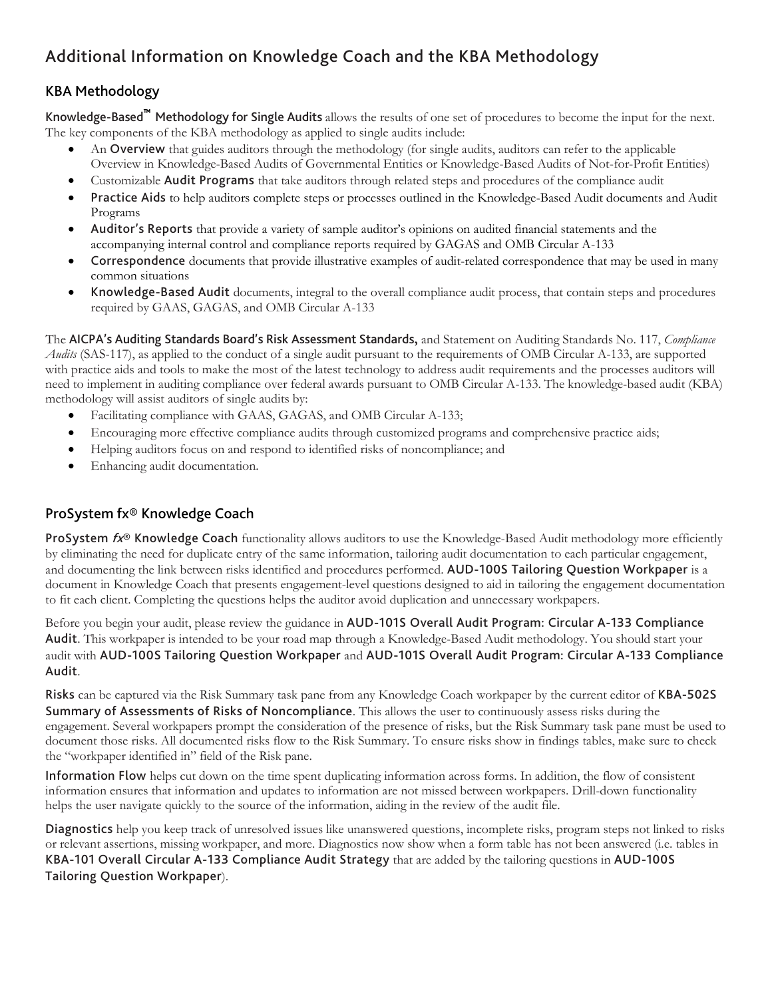# <span id="page-6-0"></span>Additional Information on Knowledge Coach and the KBA Methodology

# KBA Methodology

Knowledge-Based™ Methodology for Single Audits allows the results of one set of procedures to become the input for the next. The key components of the KBA methodology as applied to single audits include:

- An **Overview** that guides auditors through the methodology (for single audits, auditors can refer to the applicable Overview in Knowledge-Based Audits of Governmental Entities or Knowledge-Based Audits of Not-for-Profit Entities)
- Customizable Audit Programs that take auditors through related steps and procedures of the compliance audit
- Practice Aids to help auditors complete steps or processes outlined in the Knowledge-Based Audit documents and Audit Programs
- Auditor's Reports that provide a variety of sample auditor's opinions on audited financial statements and the accompanying internal control and compliance reports required by GAGAS and OMB Circular A-133
- Correspondence documents that provide illustrative examples of audit-related correspondence that may be used in many common situations
- Knowledge-Based Audit documents, integral to the overall compliance audit process, that contain steps and procedures required by GAAS, GAGAS, and OMB Circular A-133

The AICPA's Auditing Standards Board's Risk Assessment Standards**,** and Statement on Auditing Standards No. 117, *Compliance Audits* (SAS-117), as applied to the conduct of a single audit pursuant to the requirements of OMB Circular A-133, are supported with practice aids and tools to make the most of the latest technology to address audit requirements and the processes auditors will need to implement in auditing compliance over federal awards pursuant to OMB Circular A-133. The knowledge-based audit (KBA) methodology will assist auditors of single audits by:

- Facilitating compliance with GAAS, GAGAS, and OMB Circular A-133;
- Encouraging more effective compliance audits through customized programs and comprehensive practice aids;
- Helping auditors focus on and respond to identified risks of noncompliance; and
- Enhancing audit documentation.

# ProSystem fx® Knowledge Coach

**ProSystem**  $f_{X}$ **<sup>®</sup> Knowledge Coach** functionality allows auditors to use the Knowledge-Based Audit methodology more efficiently by eliminating the need for duplicate entry of the same information, tailoring audit documentation to each particular engagement, and documenting the link between risks identified and procedures performed. AUD-100S Tailoring Question Workpaper is a document in Knowledge Coach that presents engagement-level questions designed to aid in tailoring the engagement documentation to fit each client. Completing the questions helps the auditor avoid duplication and unnecessary workpapers.

Before you begin your audit, please review the guidance in AUD-101S Overall Audit Program: Circular A-133 Compliance Audit. This workpaper is intended to be your road map through a Knowledge-Based Audit methodology. You should start your audit with AUD-100S Tailoring Question Workpaper and AUD-101S Overall Audit Program: Circular A-133 Compliance Audit.

Risks can be captured via the Risk Summary task pane from any Knowledge Coach workpaper by the current editor of KBA-502S Summary of Assessments of Risks of Noncompliance. This allows the user to continuously assess risks during the engagement. Several workpapers prompt the consideration of the presence of risks, but the Risk Summary task pane must be used to document those risks. All documented risks flow to the Risk Summary. To ensure risks show in findings tables, make sure to check the "workpaper identified in" field of the Risk pane.

Information Flow helps cut down on the time spent duplicating information across forms. In addition, the flow of consistent information ensures that information and updates to information are not missed between workpapers. Drill-down functionality helps the user navigate quickly to the source of the information, aiding in the review of the audit file.

Diagnostics help you keep track of unresolved issues like unanswered questions, incomplete risks, program steps not linked to risks or relevant assertions, missing workpaper, and more. Diagnostics now show when a form table has not been answered (i.e. tables in KBA-101 Overall Circular A-133 Compliance Audit Strategy that are added by the tailoring questions in AUD-100S Tailoring Question Workpaper).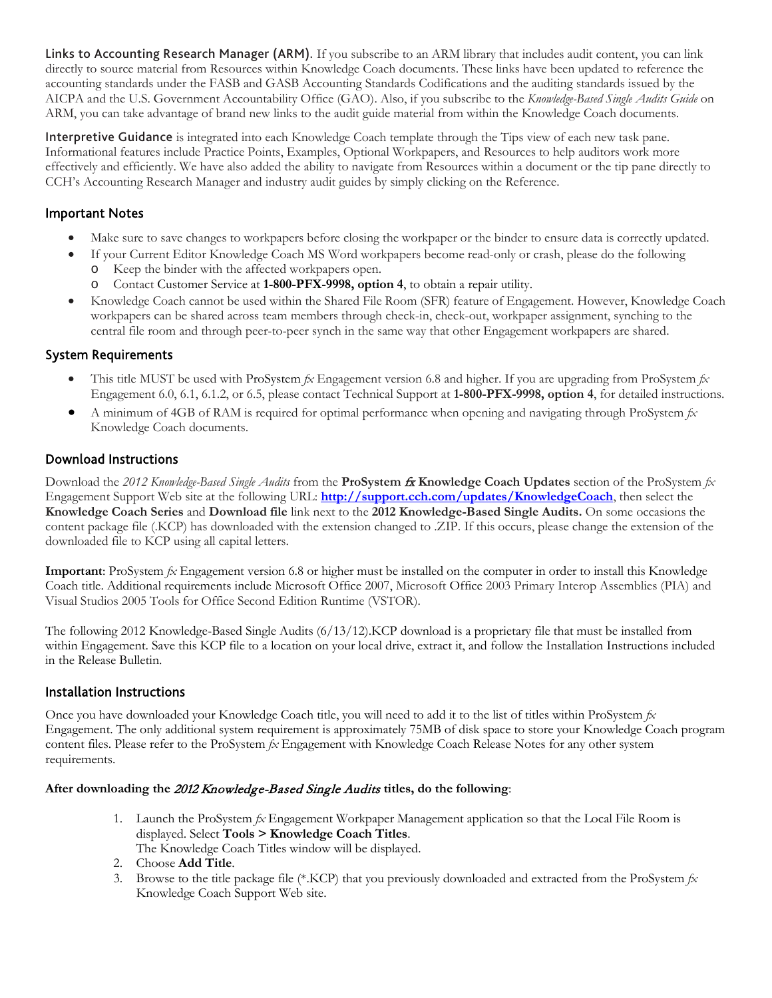Links to Accounting Research Manager (ARM). If you subscribe to an ARM library that includes audit content, you can link directly to source material from Resources within Knowledge Coach documents. These links have been updated to reference the accounting standards under the FASB and GASB Accounting Standards Codifications and the auditing standards issued by the AICPA and the U.S. Government Accountability Office (GAO). Also, if you subscribe to the *Knowledge-Based Single Audits Guide* on ARM, you can take advantage of brand new links to the audit guide material from within the Knowledge Coach documents.

Interpretive Guidance is integrated into each Knowledge Coach template through the Tips view of each new task pane. Informational features include Practice Points, Examples, Optional Workpapers, and Resources to help auditors work more effectively and efficiently. We have also added the ability to navigate from Resources within a document or the tip pane directly to CCH's Accounting Research Manager and industry audit guides by simply clicking on the Reference.

## Important Notes

- Make sure to save changes to workpapers before closing the workpaper or the binder to ensure data is correctly updated.
- If your Current Editor Knowledge Coach MS Word workpapers become read-only or crash, please do the following
	- o Keep the binder with the affected workpapers open.
	- o Contact Customer Service at **1-800-PFX-9998, option 4**, to obtain a repair utility.
- Knowledge Coach cannot be used within the Shared File Room (SFR) feature of Engagement. However, Knowledge Coach workpapers can be shared across team members through check-in, check-out, workpaper assignment, synching to the central file room and through peer-to-peer synch in the same way that other Engagement workpapers are shared.

## System Requirements

- This title MUST be used with ProSystem *fx* Engagement version 6.8 and higher. If you are upgrading from ProSystem *fx*  Engagement 6.0, 6.1, 6.1.2, or 6.5, please contact Technical Support at **1-800-PFX-9998, option 4**, for detailed instructions.
- A minimum of 4GB of RAM is required for optimal performance when opening and navigating through ProSystem *fx*  Knowledge Coach documents.

## Download Instructions

Download the *2012 Knowledge-Based Single Audits* from the **ProSystem** fx **Knowledge Coach Updates** section of the ProSystem *fx*  Engagement Support Web site at the following URL: **<http://support.cch.com/updates/KnowledgeCoach>**, then select the **Knowledge Coach Series** and **Download file** link next to the **2012 Knowledge-Based Single Audits.** On some occasions the content package file (.KCP) has downloaded with the extension changed to .ZIP. If this occurs, please change the extension of the downloaded file to KCP using all capital letters.

**Important**: ProSystem *fx* Engagement version 6.8 or higher must be installed on the computer in order to install this Knowledge Coach title. Additional requirements include Microsoft Office 2007, Microsoft Office 2003 Primary Interop Assemblies (PIA) and Visual Studios 2005 Tools for Office Second Edition Runtime (VSTOR).

The following 2012 Knowledge-Based Single Audits (6/13/12).KCP download is a proprietary file that must be installed from within Engagement. Save this KCP file to a location on your local drive, extract it, and follow the Installation Instructions included in the Release Bulletin.

#### Installation Instructions

Once you have downloaded your Knowledge Coach title, you will need to add it to the list of titles within ProSystem *fx*  Engagement. The only additional system requirement is approximately 75MB of disk space to store your Knowledge Coach program content files. Please refer to the ProSystem *fx* Engagement with Knowledge Coach Release Notes for any other system requirements.

#### **After downloading the** 2012 Knowledge-Based Single Audits **titles, do the following**:

- 1. Launch the ProSystem *fx* Engagement Workpaper Management application so that the Local File Room is displayed. Select **Tools > Knowledge Coach Titles**. The Knowledge Coach Titles window will be displayed.
- 2. Choose **Add Title**.
- 3. Browse to the title package file (\*.KCP) that you previously downloaded and extracted from the ProSystem *fx*  Knowledge Coach Support Web site.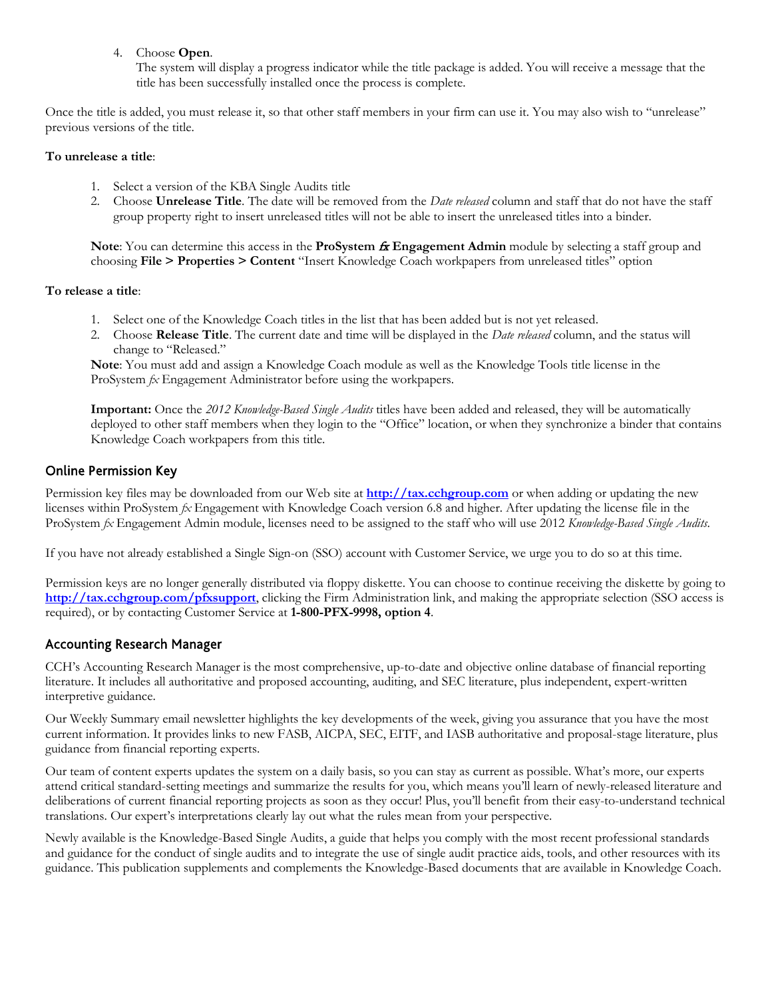4. Choose **Open**.

The system will display a progress indicator while the title package is added. You will receive a message that the title has been successfully installed once the process is complete.

Once the title is added, you must release it, so that other staff members in your firm can use it. You may also wish to "unrelease" previous versions of the title.

#### **To unrelease a title**:

- 1. Select a version of the KBA Single Audits title
- 2. Choose **Unrelease Title**. The date will be removed from the *Date released* column and staff that do not have the staff group property right to insert unreleased titles will not be able to insert the unreleased titles into a binder.

**Note:** You can determine this access in the **ProSystem**  $\hat{\boldsymbol{\pi}}$  **<b>Engagement Admin** module by selecting a staff group and choosing **File > Properties > Content** "Insert Knowledge Coach workpapers from unreleased titles" option

#### **To release a title**:

- 1. Select one of the Knowledge Coach titles in the list that has been added but is not yet released.
- 2. Choose **Release Title**. The current date and time will be displayed in the *Date released* column, and the status will change to "Released."

**Note**: You must add and assign a Knowledge Coach module as well as the Knowledge Tools title license in the ProSystem *fx* Engagement Administrator before using the workpapers.

**Important:** Once the *2012 Knowledge-Based Single Audits* titles have been added and released, they will be automatically deployed to other staff members when they login to the "Office" location, or when they synchronize a binder that contains Knowledge Coach workpapers from this title.

#### Online Permission Key

Permission key files may be downloaded from our Web site at **[http://tax.cchgroup.com](http://tax.cchgroup.com/)** or when adding or updating the new licenses within ProSystem *fx* Engagement with Knowledge Coach version 6.8 and higher. After updating the license file in the ProSystem *fx* Engagement Admin module, licenses need to be assigned to the staff who will use 2012 *Knowledge-Based Single Audits*.

If you have not already established a Single Sign-on (SSO) account with Customer Service, we urge you to do so at this time.

Permission keys are no longer generally distributed via floppy diskette. You can choose to continue receiving the diskette by going to **<http://tax.cchgroup.com/pfxsupport>**, clicking the Firm Administration link, and making the appropriate selection (SSO access is required), or by contacting Customer Service at **1-800-PFX-9998, option 4**.

#### Accounting Research Manager

CCH's Accounting Research Manager is the most comprehensive, up-to-date and objective online database of financial reporting literature. It includes all authoritative and proposed accounting, auditing, and SEC literature, plus independent, expert-written interpretive guidance.

Our Weekly Summary email newsletter highlights the key developments of the week, giving you assurance that you have the most current information. It provides links to new FASB, AICPA, SEC, EITF, and IASB authoritative and proposal-stage literature, plus guidance from financial reporting experts.

Our team of content experts updates the system on a daily basis, so you can stay as current as possible. What's more, our experts attend critical standard-setting meetings and summarize the results for you, which means you'll learn of newly-released literature and deliberations of current financial reporting projects as soon as they occur! Plus, you'll benefit from their easy-to-understand technical translations. Our expert's interpretations clearly lay out what the rules mean from your perspective.

Newly available is the Knowledge-Based Single Audits, a guide that helps you comply with the most recent professional standards and guidance for the conduct of single audits and to integrate the use of single audit practice aids, tools, and other resources with its guidance. This publication supplements and complements the Knowledge-Based documents that are available in Knowledge Coach.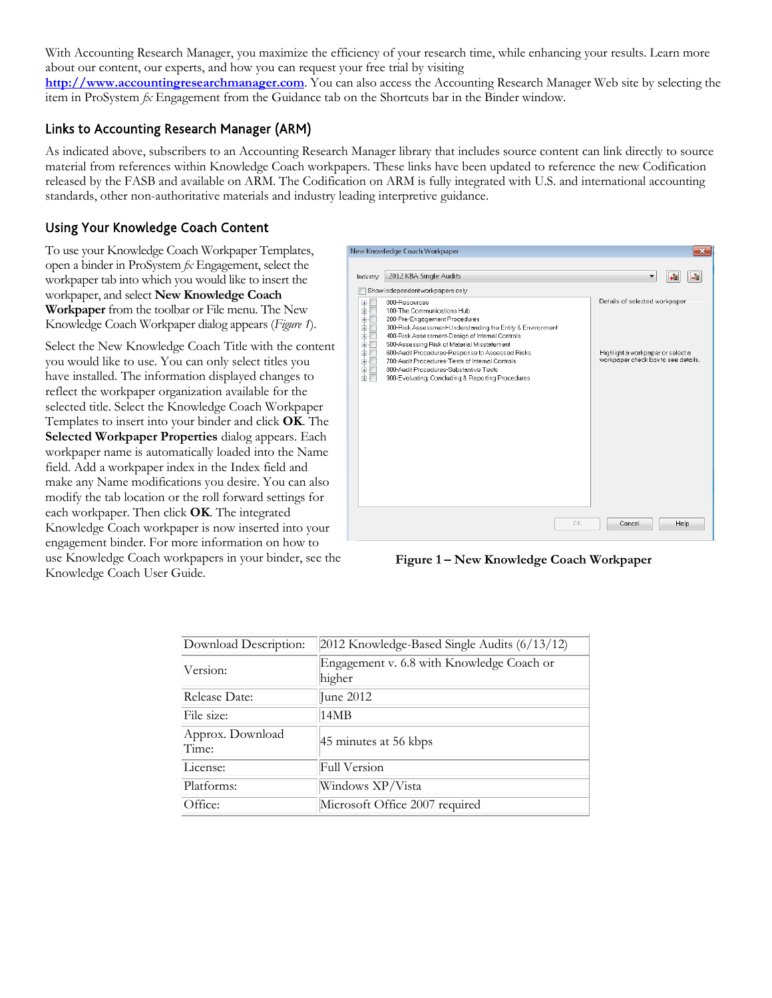With Accounting Research Manager, you maximize the efficiency of your research time, while enhancing your results. Learn more about our content, our experts, and how you can request your free trial by visiting

**[http://www.accountingresearchmanager.com](http://www.accountingresearchmanager.com/)**. You can also access the Accounting Research Manager Web site by selecting the item in ProSystem *fx* Engagement from the Guidance tab on the Shortcuts bar in the Binder window.

#### Links to Accounting Research Manager (ARM)

As indicated above, subscribers to an Accounting Research Manager library that includes source content can link directly to source material from references within Knowledge Coach workpapers. These links have been updated to reference the new Codification released by the FASB and available on ARM. The Codification on ARM is fully integrated with U.S. and international accounting standards, other non-authoritative materials and industry leading interpretive guidance.

## Using Your Knowledge Coach Content

To use your Knowledge Coach Workpaper Templates, open a binder in ProSystem *fx* Engagement, select the workpaper tab into which you would like to insert the workpaper, and select **New Knowledge Coach Workpaper** from the toolbar or File menu. The New Knowledge Coach Workpaper dialog appears (*Figure 1*).

Select the New Knowledge Coach Title with the content you would like to use. You can only select titles you have installed. The information displayed changes to reflect the workpaper organization available for the selected title. Select the Knowledge Coach Workpaper Templates to insert into your binder and click **OK**. The **Selected Workpaper Properties** dialog appears. Each workpaper name is automatically loaded into the Name field. Add a workpaper index in the Index field and make any Name modifications you desire. You can also modify the tab location or the roll forward settings for each workpaper. Then click **OK**. The integrated Knowledge Coach workpaper is now inserted into your engagement binder. For more information on how to use Knowledge Coach workpapers in your binder, see the Knowledge Coach User Guide.



**Figure 1 – New Knowledge Coach Workpaper**

| Download Description:     | 2012 Knowledge-Based Single Audits (6/13/12)        |  |
|---------------------------|-----------------------------------------------------|--|
| Version:                  | Engagement v. 6.8 with Knowledge Coach or<br>higher |  |
| Release Date:             | June 2012                                           |  |
| File size:                | 14MB                                                |  |
| Approx. Download<br>Time: | 45 minutes at 56 kbps                               |  |
| License:                  | Full Version                                        |  |
| Platforms:                | Windows XP/Vista                                    |  |
| Office:                   | Microsoft Office 2007 required                      |  |